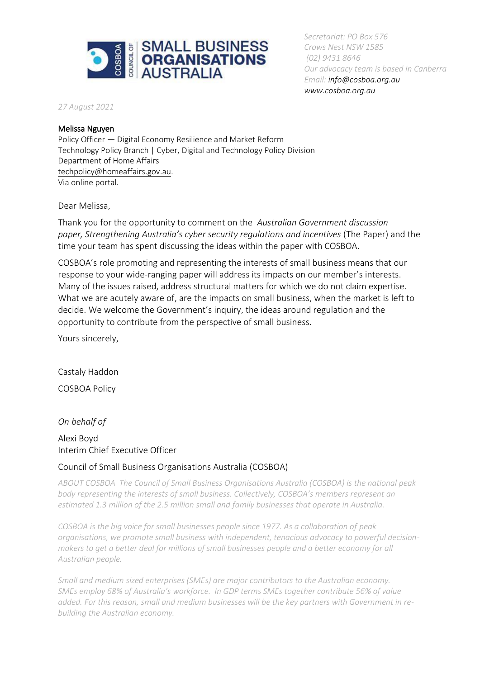

*Secretariat: PO Box 576 Crows Nest NSW 1585 (02) 9431 8646 Our advocacy team is based in Canberra Email: [info@cosboa.org.au](mailto:info@cosboa.org.au) [www.cosboa.org.au](http://www.cosboa.org.au/)*

*27 August 2021*

#### Melissa Nguyen

Policy Officer — Digital Economy Resilience and Market Reform Technology Policy Branch | Cyber, Digital and Technology Policy Division Department of Home Affairs [techpolicy@homeaffairs.gov.au.](mailto:techpolicy@homeaffairs.gov.au) Via online portal.

Dear Melissa,

Thank you for the opportunity to comment on the *Australian Government discussion paper, Strengthening Australia's cyber security regulations and incentives* (The Paper) and the time your team has spent discussing the ideas within the paper with COSBOA.

COSBOA's role promoting and representing the interests of small business means that our response to your wide-ranging paper will address its impacts on our member's interests. Many of the issues raised, address structural matters for which we do not claim expertise. What we are acutely aware of, are the impacts on small business, when the market is left to decide. We welcome the Government's inquiry, the ideas around regulation and the opportunity to contribute from the perspective of small business.

Yours sincerely,

Castaly Haddon COSBOA Policy

*On behalf of* Alexi Boyd Interim Chief Executive Officer

### Council of Small Business Organisations Australia (COSBOA)

*ABOUT COSBOA The Council of Small Business Organisations Australia (COSBOA) is the national peak body representing the interests of small business. Collectively, COSBOA's members represent an estimated 1.3 million of the 2.5 million small and family businesses that operate in Australia.*

*COSBOA is the big voice for small businesses people since 1977. As a collaboration of peak organisations, we promote small business with independent, tenacious advocacy to powerful decisionmakers to get a better deal for millions of small businesses people and a better economy for all Australian people.*

*Small and medium sized enterprises (SMEs) are major contributors to the Australian economy. SMEs employ 68% of Australia's workforce. In GDP terms SMEs together contribute 56% of value added. For this reason, small and medium businesses will be the key partners with Government in rebuilding the Australian economy.*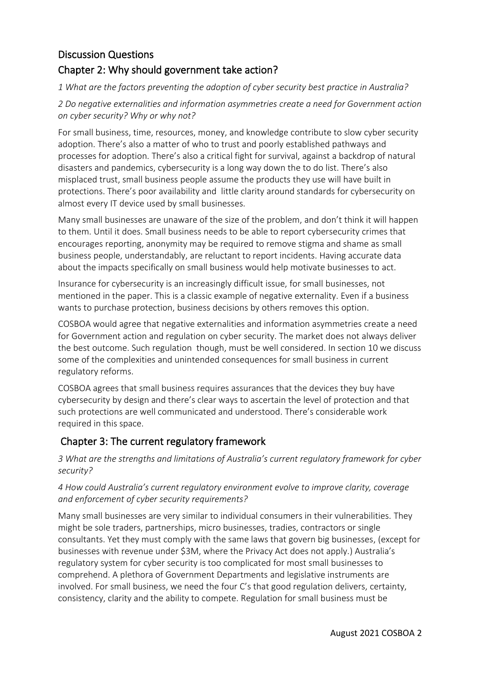# Discussion Questions Chapter 2: Why should government take action?

*1 What are the factors preventing the adoption of cyber security best practice in Australia?* 

*2 Do negative externalities and information asymmetries create a need for Government action on cyber security? Why or why not?* 

For small business, time, resources, money, and knowledge contribute to slow cyber security adoption. There's also a matter of who to trust and poorly established pathways and processes for adoption. There's also a critical fight for survival, against a backdrop of natural disasters and pandemics, cybersecurity is a long way down the to do list. There's also misplaced trust, small business people assume the products they use will have built in protections. There's poor availability and little clarity around standards for cybersecurity on almost every IT device used by small businesses.

Many small businesses are unaware of the size of the problem, and don't think it will happen to them. Until it does. Small business needs to be able to report cybersecurity crimes that encourages reporting, anonymity may be required to remove stigma and shame as small business people, understandably, are reluctant to report incidents. Having accurate data about the impacts specifically on small business would help motivate businesses to act.

Insurance for cybersecurity is an increasingly difficult issue, for small businesses, not mentioned in the paper. This is a classic example of negative externality. Even if a business wants to purchase protection, business decisions by others removes this option.

COSBOA would agree that negative externalities and information asymmetries create a need for Government action and regulation on cyber security. The market does not always deliver the best outcome. Such regulation though, must be well considered. In section 10 we discuss some of the complexities and unintended consequences for small business in current regulatory reforms.

COSBOA agrees that small business requires assurances that the devices they buy have cybersecurity by design and there's clear ways to ascertain the level of protection and that such protections are well communicated and understood. There's considerable work required in this space.

# Chapter 3: The current regulatory framework

*3 What are the strengths and limitations of Australia's current regulatory framework for cyber security?* 

### *4 How could Australia's current regulatory environment evolve to improve clarity, coverage and enforcement of cyber security requirements?*

Many small businesses are very similar to individual consumers in their vulnerabilities. They might be sole traders, partnerships, micro businesses, tradies, contractors or single consultants. Yet they must comply with the same laws that govern big businesses, (except for businesses with revenue under \$3M, where the Privacy Act does not apply.) Australia's regulatory system for cyber security is too complicated for most small businesses to comprehend. A plethora of Government Departments and legislative instruments are involved. For small business, we need the four C's that good regulation delivers, certainty, consistency, clarity and the ability to compete. Regulation for small business must be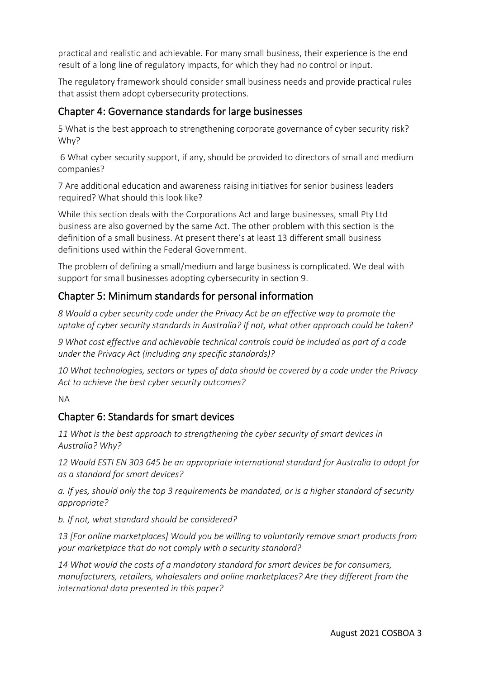practical and realistic and achievable. For many small business, their experience is the end result of a long line of regulatory impacts, for which they had no control or input.

The regulatory framework should consider small business needs and provide practical rules that assist them adopt cybersecurity protections.

### Chapter 4: Governance standards for large businesses

5 What is the best approach to strengthening corporate governance of cyber security risk? Why?

6 What cyber security support, if any, should be provided to directors of small and medium companies?

7 Are additional education and awareness raising initiatives for senior business leaders required? What should this look like?

While this section deals with the Corporations Act and large businesses, small Pty Ltd business are also governed by the same Act. The other problem with this section is the definition of a small business. At present there's at least 13 different small business definitions used within the Federal Government.

The problem of defining a small/medium and large business is complicated. We deal with support for small businesses adopting cybersecurity in section 9.

# Chapter 5: Minimum standards for personal information

*8 Would a cyber security code under the Privacy Act be an effective way to promote the uptake of cyber security standards in Australia? If not, what other approach could be taken?* 

*9 What cost effective and achievable technical controls could be included as part of a code under the Privacy Act (including any specific standards)?* 

*10 What technologies, sectors or types of data should be covered by a code under the Privacy Act to achieve the best cyber security outcomes?* 

NA

# Chapter 6: Standards for smart devices

*11 What is the best approach to strengthening the cyber security of smart devices in Australia? Why?* 

*12 Would ESTI EN 303 645 be an appropriate international standard for Australia to adopt for as a standard for smart devices?* 

*a. If yes, should only the top 3 requirements be mandated, or is a higher standard of security appropriate?*

*b. If not, what standard should be considered?* 

*13 [For online marketplaces] Would you be willing to voluntarily remove smart products from your marketplace that do not comply with a security standard?* 

*14 What would the costs of a mandatory standard for smart devices be for consumers, manufacturers, retailers, wholesalers and online marketplaces? Are they different from the international data presented in this paper?*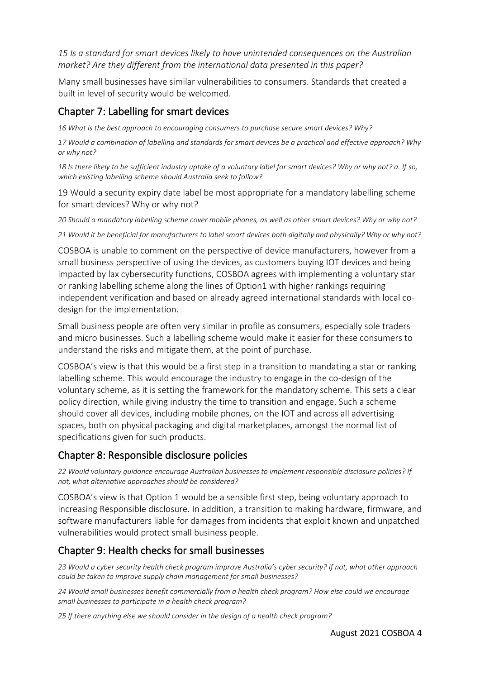*15 Is a standard for smart devices likely to have unintended consequences on the Australian market? Are they different from the international data presented in this paper?*

Many small businesses have similar vulnerabilities to consumers. Standards that created a built in level of security would be welcomed.

# Chapter 7: Labelling for smart devices

*16 What is the best approach to encouraging consumers to purchase secure smart devices? Why?* 

*17 Would a combination of labelling and standards for smart devices be a practical and effective approach? Why or why not?* 

*18 Is there likely to be sufficient industry uptake of a voluntary label for smart devices? Why or why not? a. If so, which existing labelling scheme should Australia seek to follow?* 

19 Would a security expiry date label be most appropriate for a mandatory labelling scheme for smart devices? Why or why not?

*20 Should a mandatory labelling scheme cover mobile phones, as well as other smart devices? Why or why not?* 

*21 Would it be beneficial for manufacturers to label smart devices both digitally and physically? Why or why not?* 

COSBOA is unable to comment on the perspective of device manufacturers, however from a small business perspective of using the devices, as customers buying IOT devices and being impacted by lax cybersecurity functions, COSBOA agrees with implementing a voluntary star or ranking labelling scheme along the lines of Option1 with higher rankings requiring independent verification and based on already agreed international standards with local codesign for the implementation.

Small business people are often very similar in profile as consumers, especially sole traders and micro businesses. Such a labelling scheme would make it easier for these consumers to understand the risks and mitigate them, at the point of purchase.

COSBOA's view is that this would be a first step in a transition to mandating a star or ranking labelling scheme. This would encourage the industry to engage in the co-design of the voluntary scheme, as it is setting the framework for the mandatory scheme. This sets a clear policy direction, while giving industry the time to transition and engage. Such a scheme should cover all devices, including mobile phones, on the IOT and across all advertising spaces, both on physical packaging and digital marketplaces, amongst the normal list of specifications given for such products.

# Chapter 8: Responsible disclosure policies

*22 Would voluntary guidance encourage Australian businesses to implement responsible disclosure policies? If not, what alternative approaches should be considered?* 

COSBOA's view is that Option 1 would be a sensible first step, being voluntary approach to increasing Responsible disclosure. In addition, a transition to making hardware, firmware, and software manufacturers liable for damages from incidents that exploit known and unpatched vulnerabilities would protect small business people.

# Chapter 9: Health checks for small businesses

23 Would a cyber security health check program improve Australia's cyber security? If not, what other approach *could be taken to improve supply chain management for small businesses?* 

*24 Would small businesses benefit commercially from a health check program? How else could we encourage small businesses to participate in a health check program?* 

*25 If there anything else we should consider in the design of a health check program?*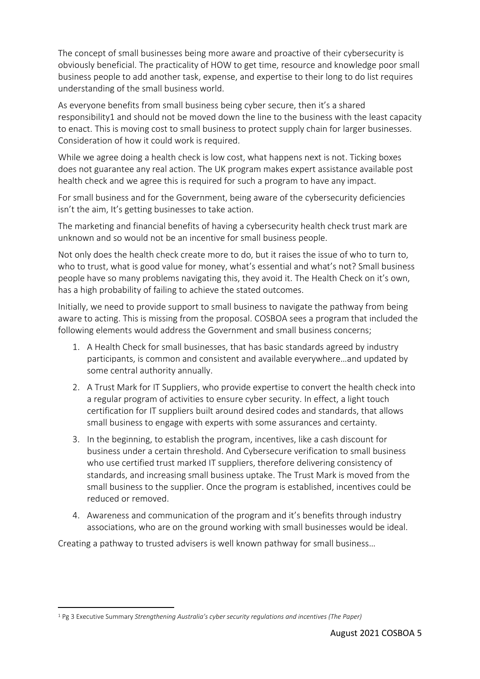The concept of small businesses being more aware and proactive of their cybersecurity is obviously beneficial. The practicality of HOW to get time, resource and knowledge poor small business people to add another task, expense, and expertise to their long to do list requires understanding of the small business world.

As everyone benefits from small business being cyber secure, then it's a shared responsibility1 and should not be moved down the line to the business with the least capacity to enact. This is moving cost to small business to protect supply chain for larger businesses. Consideration of how it could work is required.

While we agree doing a health check is low cost, what happens next is not. Ticking boxes does not guarantee any real action. The UK program makes expert assistance available post health check and we agree this is required for such a program to have any impact.

For small business and for the Government, being aware of the cybersecurity deficiencies isn't the aim, It's getting businesses to take action.

The marketing and financial benefits of having a cybersecurity health check trust mark are unknown and so would not be an incentive for small business people.

Not only does the health check create more to do, but it raises the issue of who to turn to, who to trust, what is good value for money, what's essential and what's not? Small business people have so many problems navigating this, they avoid it. The Health Check on it's own, has a high probability of failing to achieve the stated outcomes.

Initially, we need to provide support to small business to navigate the pathway from being aware to acting. This is missing from the proposal. COSBOA sees a program that included the following elements would address the Government and small business concerns;

- 1. A Health Check for small businesses, that has basic standards agreed by industry participants, is common and consistent and available everywhere…and updated by some central authority annually.
- 2. A Trust Mark for IT Suppliers, who provide expertise to convert the health check into a regular program of activities to ensure cyber security. In effect, a light touch certification for IT suppliers built around desired codes and standards, that allows small business to engage with experts with some assurances and certainty.
- 3. In the beginning, to establish the program, incentives, like a cash discount for business under a certain threshold. And Cybersecure verification to small business who use certified trust marked IT suppliers, therefore delivering consistency of standards, and increasing small business uptake. The Trust Mark is moved from the small business to the supplier. Once the program is established, incentives could be reduced or removed.
- 4. Awareness and communication of the program and it's benefits through industry associations, who are on the ground working with small businesses would be ideal.

Creating a pathway to trusted advisers is well known pathway for small business…

<sup>1</sup> Pg 3 Executive Summary *Strengthening Australia's cyber security regulations and incentives (The Paper)*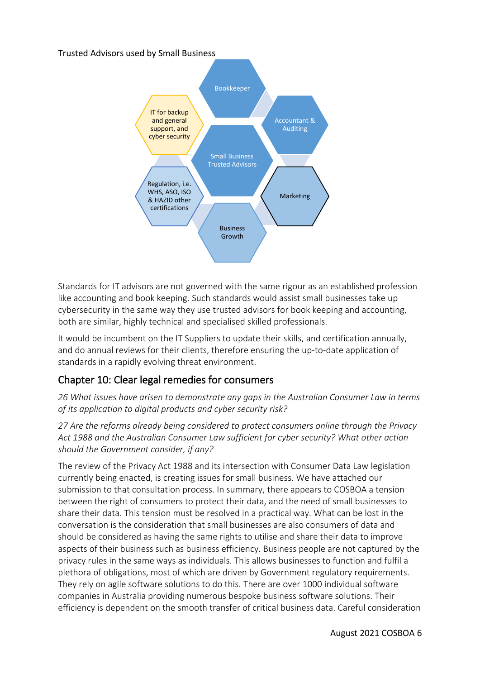Trusted Advisors used by Small Business



Standards for IT advisors are not governed with the same rigour as an established profession like accounting and book keeping. Such standards would assist small businesses take up cybersecurity in the same way they use trusted advisors for book keeping and accounting, both are similar, highly technical and specialised skilled professionals.

It would be incumbent on the IT Suppliers to update their skills, and certification annually, and do annual reviews for their clients, therefore ensuring the up-to-date application of standards in a rapidly evolving threat environment.

# Chapter 10: Clear legal remedies for consumers

*26 What issues have arisen to demonstrate any gaps in the Australian Consumer Law in terms of its application to digital products and cyber security risk?*

*27 Are the reforms already being considered to protect consumers online through the Privacy Act 1988 and the Australian Consumer Law sufficient for cyber security? What other action should the Government consider, if any?*

The review of the Privacy Act 1988 and its intersection with Consumer Data Law legislation currently being enacted, is creating issues for small business. We have attached our submission to that consultation process. In summary, there appears to COSBOA a tension between the right of consumers to protect their data, and the need of small businesses to share their data. This tension must be resolved in a practical way. What can be lost in the conversation is the consideration that small businesses are also consumers of data and should be considered as having the same rights to utilise and share their data to improve aspects of their business such as business efficiency. Business people are not captured by the privacy rules in the same ways as individuals. This allows businesses to function and fulfil a plethora of obligations, most of which are driven by Government regulatory requirements. They rely on agile software solutions to do this. There are over 1000 individual software companies in Australia providing numerous bespoke business software solutions. Their efficiency is dependent on the smooth transfer of critical business data. Careful consideration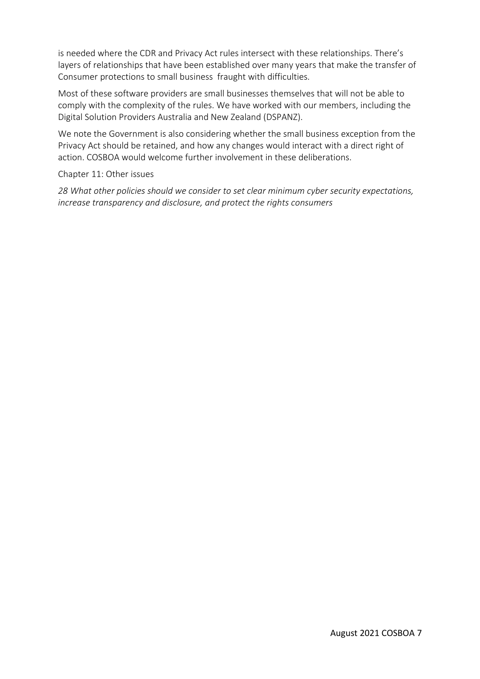is needed where the CDR and Privacy Act rules intersect with these relationships. There's layers of relationships that have been established over many years that make the transfer of Consumer protections to small business fraught with difficulties.

Most of these software providers are small businesses themselves that will not be able to comply with the complexity of the rules. We have worked with our members, including the Digital Solution Providers Australia and New Zealand (DSPANZ).

We note the Government is also considering whether the small business exception from the Privacy Act should be retained, and how any changes would interact with a direct right of action. COSBOA would welcome further involvement in these deliberations.

Chapter 11: Other issues

*28 What other policies should we consider to set clear minimum cyber security expectations, increase transparency and disclosure, and protect the rights consumers*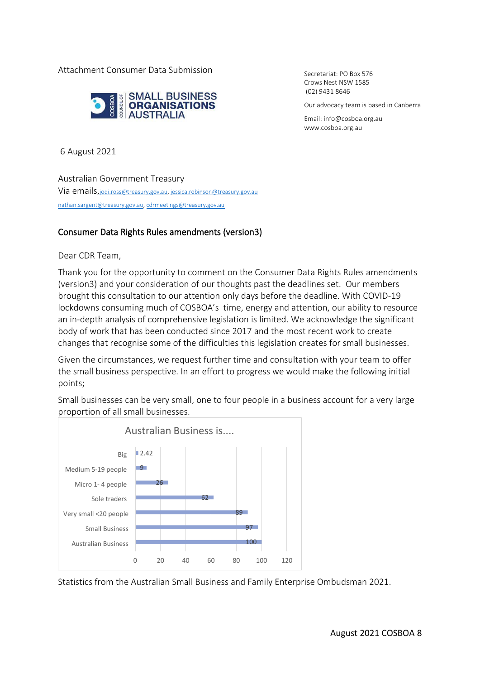Attachment Consumer Data Submission



Secretariat: PO Box 576 Crows Nest NSW 1585 (02) 9431 8646

Our advocacy team is based in Canberra

Email[: info@cosboa.org.au](mailto:info@cosboa.org.au) [www.cosboa.org.au](http://www.cosboa.org.au/)

6 August 2021

Australian Government Treasury Via emails,[jodi.ross@treasury.gov.au,](mailto:jodi.ross@treasury.gov.au) [jessica.robinson@treasury.gov.au](mailto:jessica.robinson@treasury.gov.au) [nathan.sargent@treasury.gov.au,](mailto:nathan.sargent@treasury.gov.au) [cdrmeetings@treasury.gov.au](mailto:cdrmeetings@treasury.gov.au)

#### Consumer Data Rights Rules amendments (version3)

Dear CDR Team,

Thank you for the opportunity to comment on the Consumer Data Rights Rules amendments (version3) and your consideration of our thoughts past the deadlines set. Our members brought this consultation to our attention only days before the deadline. With COVID-19 lockdowns consuming much of COSBOA's time, energy and attention, our ability to resource an in-depth analysis of comprehensive legislation is limited. We acknowledge the significant body of work that has been conducted since 2017 and the most recent work to create changes that recognise some of the difficulties this legislation creates for small businesses.

Given the circumstances, we request further time and consultation with your team to offer the small business perspective. In an effort to progress we would make the following initial points;

Small businesses can be very small, one to four people in a business account for a very large proportion of all small businesses.



Statistics from the Australian Small Business and Family Enterprise Ombudsman 2021.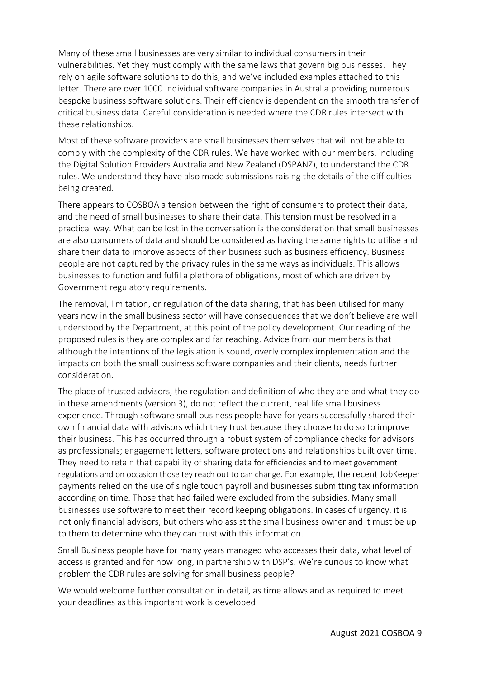Many of these small businesses are very similar to individual consumers in their vulnerabilities. Yet they must comply with the same laws that govern big businesses. They rely on agile software solutions to do this, and we've included examples attached to this letter. There are over 1000 individual software companies in Australia providing numerous bespoke business software solutions. Their efficiency is dependent on the smooth transfer of critical business data. Careful consideration is needed where the CDR rules intersect with these relationships.

Most of these software providers are small businesses themselves that will not be able to comply with the complexity of the CDR rules. We have worked with our members, including the Digital Solution Providers Australia and New Zealand (DSPANZ), to understand the CDR rules. We understand they have also made submissions raising the details of the difficulties being created.

There appears to COSBOA a tension between the right of consumers to protect their data, and the need of small businesses to share their data. This tension must be resolved in a practical way. What can be lost in the conversation is the consideration that small businesses are also consumers of data and should be considered as having the same rights to utilise and share their data to improve aspects of their business such as business efficiency. Business people are not captured by the privacy rules in the same ways as individuals. This allows businesses to function and fulfil a plethora of obligations, most of which are driven by Government regulatory requirements.

The removal, limitation, or regulation of the data sharing, that has been utilised for many years now in the small business sector will have consequences that we don't believe are well understood by the Department, at this point of the policy development. Our reading of the proposed rules is they are complex and far reaching. Advice from our members is that although the intentions of the legislation is sound, overly complex implementation and the impacts on both the small business software companies and their clients, needs further consideration.

The place of trusted advisors, the regulation and definition of who they are and what they do in these amendments (version 3), do not reflect the current, real life small business experience. Through software small business people have for years successfully shared their own financial data with advisors which they trust because they choose to do so to improve their business. This has occurred through a robust system of compliance checks for advisors as professionals; engagement letters, software protections and relationships built over time. They need to retain that capability of sharing data for efficiencies and to meet government regulations and on occasion those tey reach out to can change. For example, the recent JobKeeper payments relied on the use of single touch payroll and businesses submitting tax information according on time. Those that had failed were excluded from the subsidies. Many small businesses use software to meet their record keeping obligations. In cases of urgency, it is not only financial advisors, but others who assist the small business owner and it must be up to them to determine who they can trust with this information.

Small Business people have for many years managed who accesses their data, what level of access is granted and for how long, in partnership with DSP's. We're curious to know what problem the CDR rules are solving for small business people?

We would welcome further consultation in detail, as time allows and as required to meet your deadlines as this important work is developed.